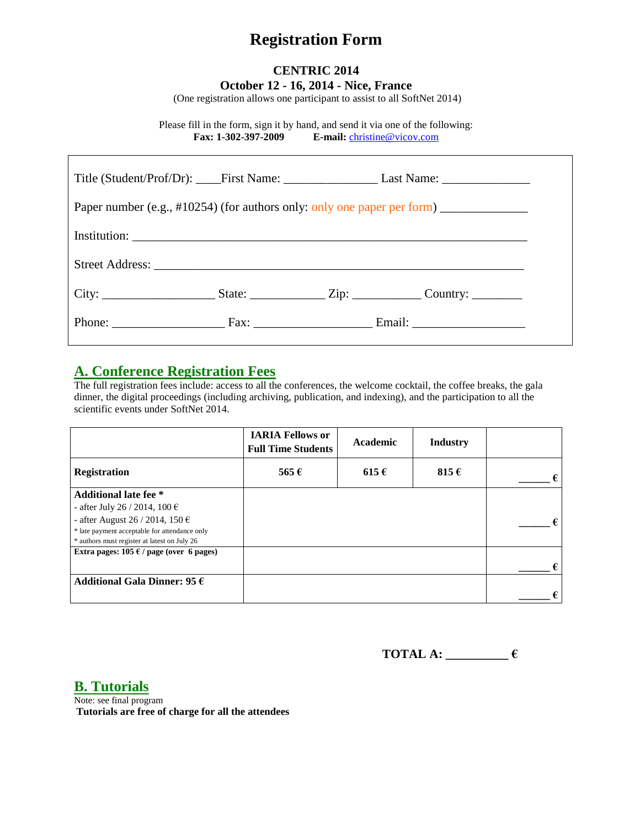# **Registration Form**

### **CENTRIC 2014 October 12 - 16, 2014 - Nice, France**

(One registration allows one participant to assist to all SoftNet 2014)

Please fill in the form, sign it by hand, and send it via one of the following: **Fax: 1-302-397-2009 E-mail:** [christine@vicov.com](mailto:christine@vicov.com)

| Paper number (e.g., #10254) (for authors only: only one paper per form) _______________ |  |  |                                                                                                      |  |  |
|-----------------------------------------------------------------------------------------|--|--|------------------------------------------------------------------------------------------------------|--|--|
|                                                                                         |  |  |                                                                                                      |  |  |
|                                                                                         |  |  |                                                                                                      |  |  |
|                                                                                         |  |  | City: _________________________State: ___________________Zip: ________________Country: _____________ |  |  |
|                                                                                         |  |  | Phone: Fax: Fax: Francisco Email: Email:                                                             |  |  |

### **A. Conference Registration Fees**

The full registration fees include: access to all the conferences, the welcome cocktail, the coffee breaks, the gala dinner, the digital proceedings (including archiving, publication, and indexing), and the participation to all the scientific events under SoftNet 2014.

|                                                 | <b>IARIA Fellows or</b><br><b>Full Time Students</b> | Academic  | <b>Industry</b> |   |
|-------------------------------------------------|------------------------------------------------------|-----------|-----------------|---|
| <b>Registration</b>                             | 565 $\epsilon$                                       | $615 \in$ | 815 $\epsilon$  | € |
| <b>Additional late fee</b> *                    |                                                      |           |                 |   |
| - after July 26 / 2014, 100 €                   |                                                      |           |                 |   |
| - after August 26 / 2014, 150 $\epsilon$        |                                                      |           |                 |   |
| * late payment acceptable for attendance only   |                                                      |           |                 |   |
| * authors must register at latest on July 26    |                                                      |           |                 |   |
| Extra pages: $105 \in \ell$ page (over 6 pages) |                                                      |           |                 |   |
|                                                 |                                                      |           |                 | € |
| Additional Gala Dinner: 95 $\epsilon$           |                                                      |           |                 |   |
|                                                 |                                                      |           |                 | € |

**TOTAL A: \_\_\_\_\_\_\_\_\_\_ €**

**B. Tutorials**

Note: see final program **Tutorials are free of charge for all the attendees**